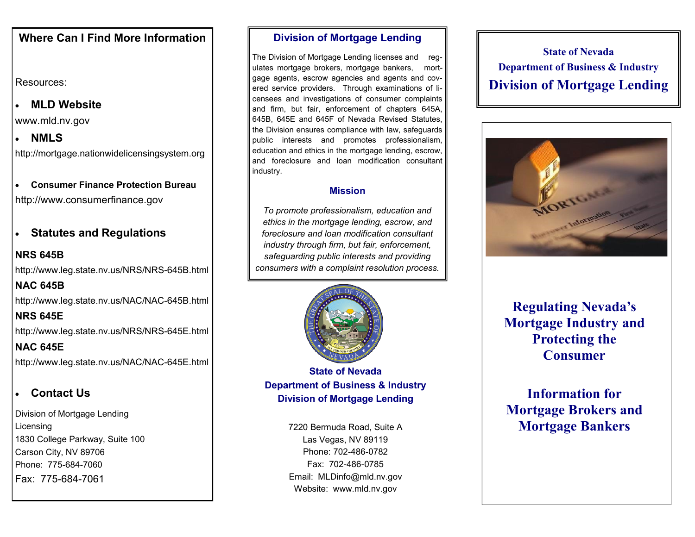## **Where Can I Find More Information**

Resources:

## **MLD Website**

www.mld.nv.gov

 **NMLS** http://mortgage.nationwidelicensingsystem.org

 **Consumer Finance Protection Bureau** http://www.consumerfinance.gov

**Statutes and Regulations**

# **NRS 645B** http://www.leg.state.nv.us/NRS/NRS-645B.html **NAC 645B** http://www.leg.state.nv.us/NAC/NAC-645B.html **NRS 645E** http://www.leg.state.nv.us/NRS/NRS-645E.html **NAC 645E** http://www.leg.state.nv.us/NAC/NAC-645E.html

## **Contact Us**

Division of Mortgage Lending Licensing 1830 College Parkway, Suite 100 Carson City, NV 89706 Phone: 775-684-7060 Fax: 775-684-7061

### **Division of Mortgage Lending**

The Division of Mortgage Lending licenses and regulates mortgage brokers, mortgage bankers, mortgage agents, escrow agencies and agents and covered service providers. Through examinations of licensees and investigations of consumer complaints and firm, but fair, enforcement of chapters 645A, 645B, 645E and 645F of Nevada Revised Statutes, the Division ensures compliance with law, safeguards public interests and promotes professionalism, education and ethics in the mortgage lending, escrow, and foreclosure and loan modification consultant industry.

### **Mission**

*To promote professionalism, education and ethics in the mortgage lending, escrow, and foreclosure and loan modification consultant industry through firm, but fair, enforcement, safeguarding public interests and providing consumers with a complaint resolution process.*



**State of Nevada Department of Business & Industry Division of Mortgage Lending**

> 7220 Bermuda Road, Suite A Las Vegas, NV 89119 Phone: 702-486-0782 Fax: 702-486-0785 Email: MLDinfo@mld.nv.gov Website: www.mld.nv.gov

**State of Nevada Department of Business & Industry Division of Mortgage Lending**



**Regulating Nevada's Mortgage Industry and Protecting the Consumer**

**Information for Mortgage Brokers and Mortgage Bankers**